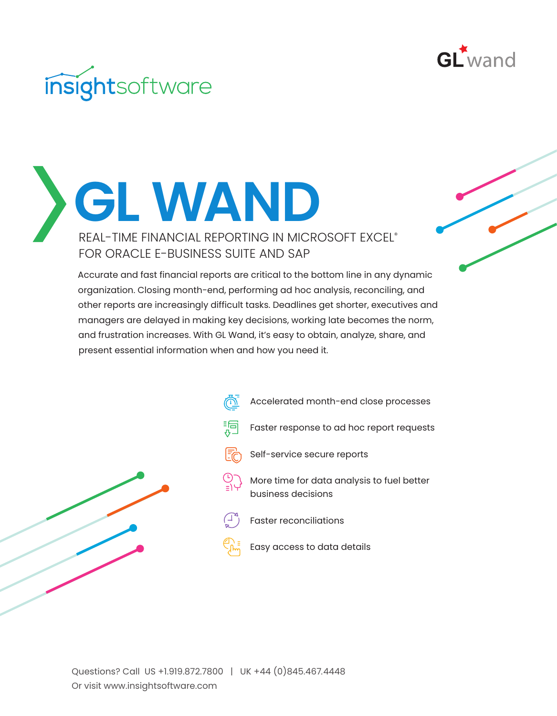

## insightsoftware

**GL WAND** REAL-TIME FINANCIAL REPORTING IN MICROSOFT EXCEL® FOR ORACLE E-BUSINESS SUITE AND SAP

> Accurate and fast financial reports are critical to the bottom line in any dynamic organization. Closing month-end, performing ad hoc analysis, reconciling, and other reports are increasingly difficult tasks. Deadlines get shorter, executives and managers are delayed in making key decisions, working late becomes the norm, and frustration increases. With GL Wand, it's easy to obtain, analyze, share, and present essential information when and how you need it.



Accelerated month-end close processes 洞 Faster response to ad hoc report requests Self-service secure reports More time for data analysis to fuel better business decisions Faster reconciliations Easy access to data details